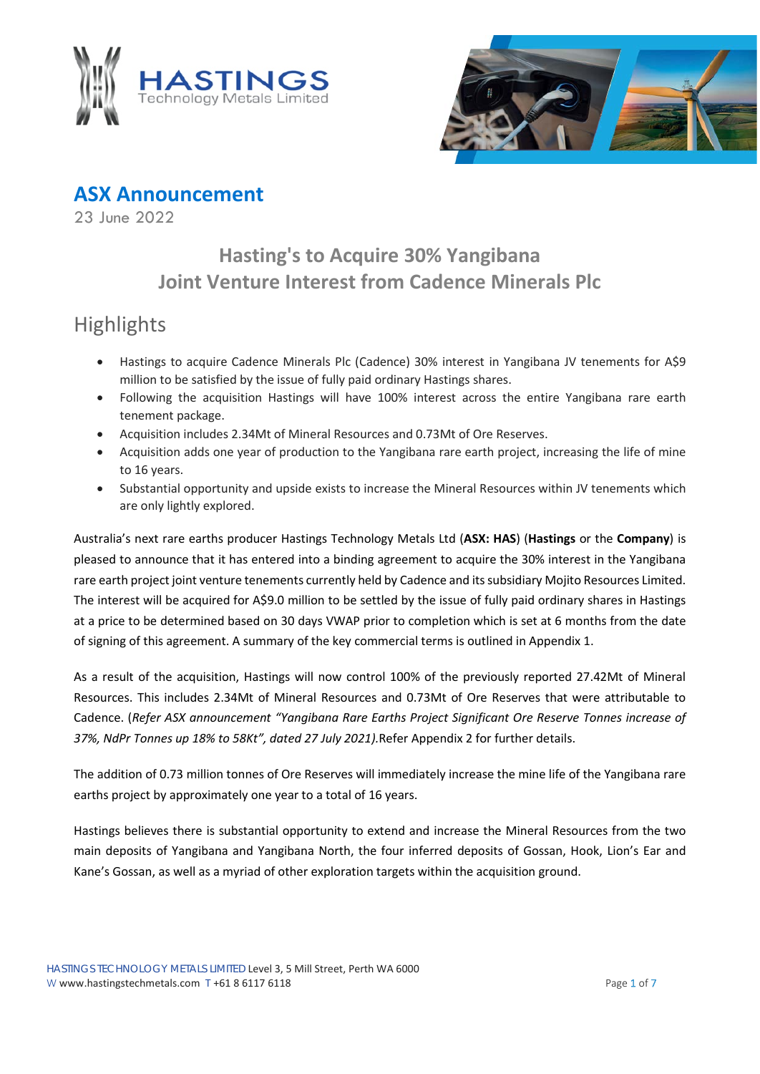



**ASX Announcement**

23 June 2022

## **Hasting's to Acquire 30% Yangibana Joint Venture Interest from Cadence Minerals Plc**

# **Highlights**

- Hastings to acquire Cadence Minerals Plc (Cadence) 30% interest in Yangibana JV tenements for A\$9 million to be satisfied by the issue of fully paid ordinary Hastings shares.
- Following the acquisition Hastings will have 100% interest across the entire Yangibana rare earth tenement package.
- Acquisition includes 2.34Mt of Mineral Resources and 0.73Mt of Ore Reserves.
- Acquisition adds one year of production to the Yangibana rare earth project, increasing the life of mine to 16 years.
- Substantial opportunity and upside exists to increase the Mineral Resources within JV tenements which are only lightly explored.

Australia's next rare earths producer Hastings Technology Metals Ltd (**ASX: HAS**) (**Hastings** or the **Company**) is pleased to announce that it has entered into a binding agreement to acquire the 30% interest in the Yangibana rare earth project joint venture tenements currently held by Cadence and its subsidiary Mojito Resources Limited. The interest will be acquired for A\$9.0 million to be settled by the issue of fully paid ordinary shares in Hastings at a price to be determined based on 30 days VWAP prior to completion which is set at 6 months from the date of signing of this agreement. A summary of the key commercial terms is outlined in Appendix 1.

As a result of the acquisition, Hastings will now control 100% of the previously reported 27.42Mt of Mineral Resources. This includes 2.34Mt of Mineral Resources and 0.73Mt of Ore Reserves that were attributable to Cadence. (*Refer ASX announcement "Yangibana Rare Earths Project Significant Ore Reserve Tonnes increase of 37%, NdPr Tonnes up 18% to 58Kt", dated 27 July 2021).*Refer Appendix 2 for further details.

The addition of 0.73 million tonnes of Ore Reserves will immediately increase the mine life of the Yangibana rare earths project by approximately one year to a total of 16 years.

Hastings believes there is substantial opportunity to extend and increase the Mineral Resources from the two main deposits of Yangibana and Yangibana North, the four inferred deposits of Gossan, Hook, Lion's Ear and Kane's Gossan, as well as a myriad of other exploration targets within the acquisition ground.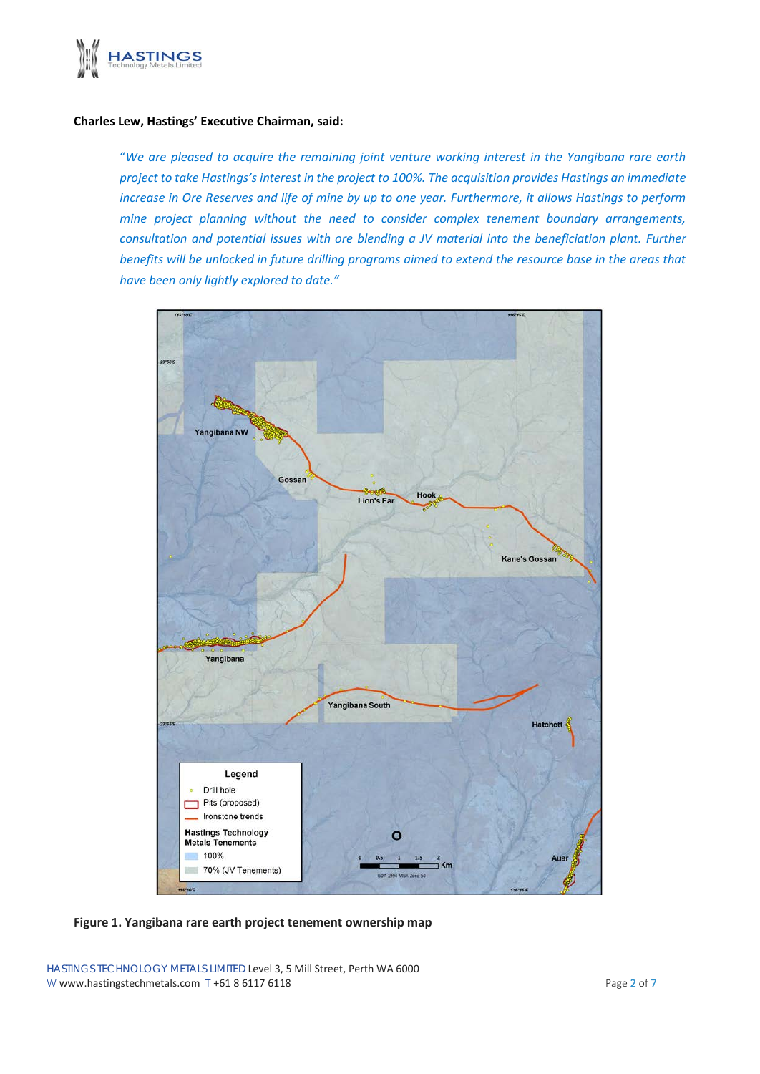

#### **Charles Lew, Hastings' Executive Chairman, said:**

"*We are pleased to acquire the remaining joint venture working interest in the Yangibana rare earth project to take Hastings's interest in the project to 100%. The acquisition provides Hastings an immediate increase in Ore Reserves and life of mine by up to one year. Furthermore, it allows Hastings to perform mine project planning without the need to consider complex tenement boundary arrangements, consultation and potential issues with ore blending a JV material into the beneficiation plant. Further benefits will be unlocked in future drilling programs aimed to extend the resource base in the areas that have been only lightly explored to date."*



HASTINGS TECHNOLOGY METALS LIMITED Level 3, 5 Mill Street, Perth WA 6000 W www.hastingstechmetals.com  $T +61 8 6117 6118$  Page 2 of 7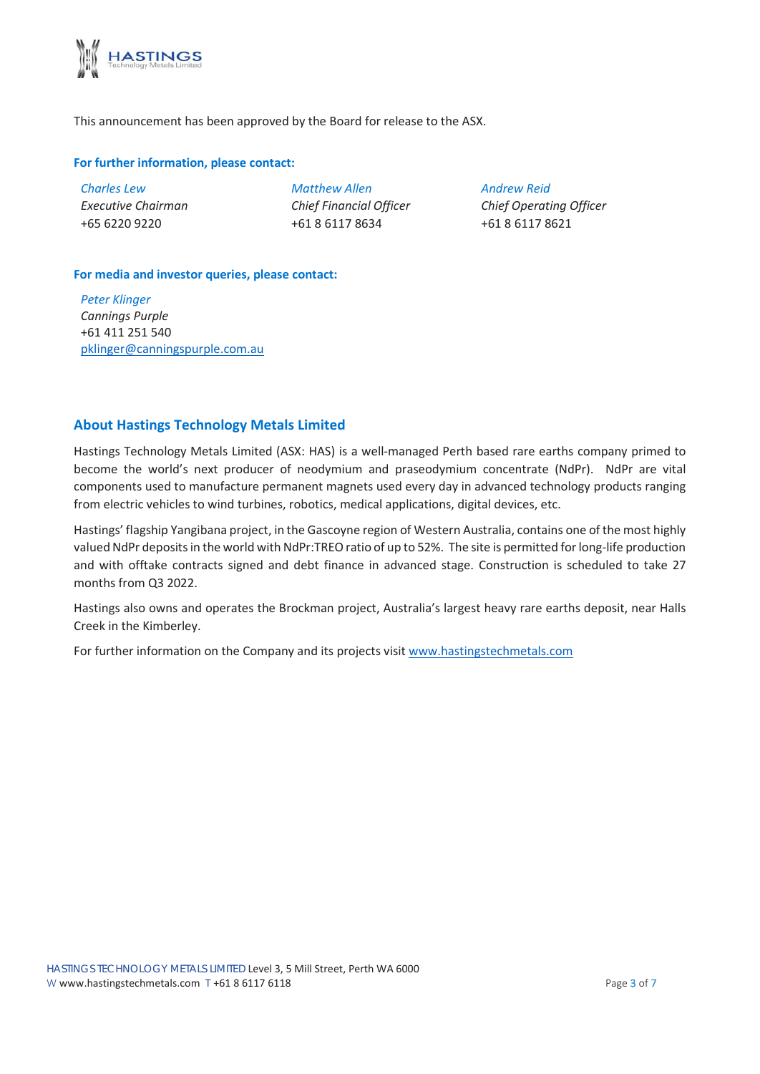

This announcement has been approved by the Board for release to the ASX.

#### **For further information, please contact:**

| <b>Charles Lew</b> |
|--------------------|
| Executive Chairman |
| +65 6220 9220      |

*Matthew Allen Chief Financial Officer* +61 8 6117 8634

*Andrew Reid Chief Operating Officer*

+61 8 6117 8621

### **For media and investor queries, please contact:**

*Peter Klinger Cannings Purple* +61 411 251 540 [pklinger@canningspurple.com.au](mailto:pklinger@canningspurple.com.au)

#### **About Hastings Technology Metals Limited**

Hastings Technology Metals Limited (ASX: HAS) is a well-managed Perth based rare earths company primed to become the world's next producer of neodymium and praseodymium concentrate (NdPr). NdPr are vital components used to manufacture permanent magnets used every day in advanced technology products ranging from electric vehicles to wind turbines, robotics, medical applications, digital devices, etc.

Hastings' flagship Yangibana project, in the Gascoyne region of Western Australia, contains one of the most highly valued NdPr deposits in the world with NdPr:TREO ratio of up to 52%. The site is permitted for long-life production and with offtake contracts signed and debt finance in advanced stage. Construction is scheduled to take 27 months from Q3 2022.

Hastings also owns and operates the Brockman project, Australia's largest heavy rare earths deposit, near Halls Creek in the Kimberley.

For further information on the Company and its projects visit [www.hastingstechmetals.com](http://www.hastingstechmetals.com/)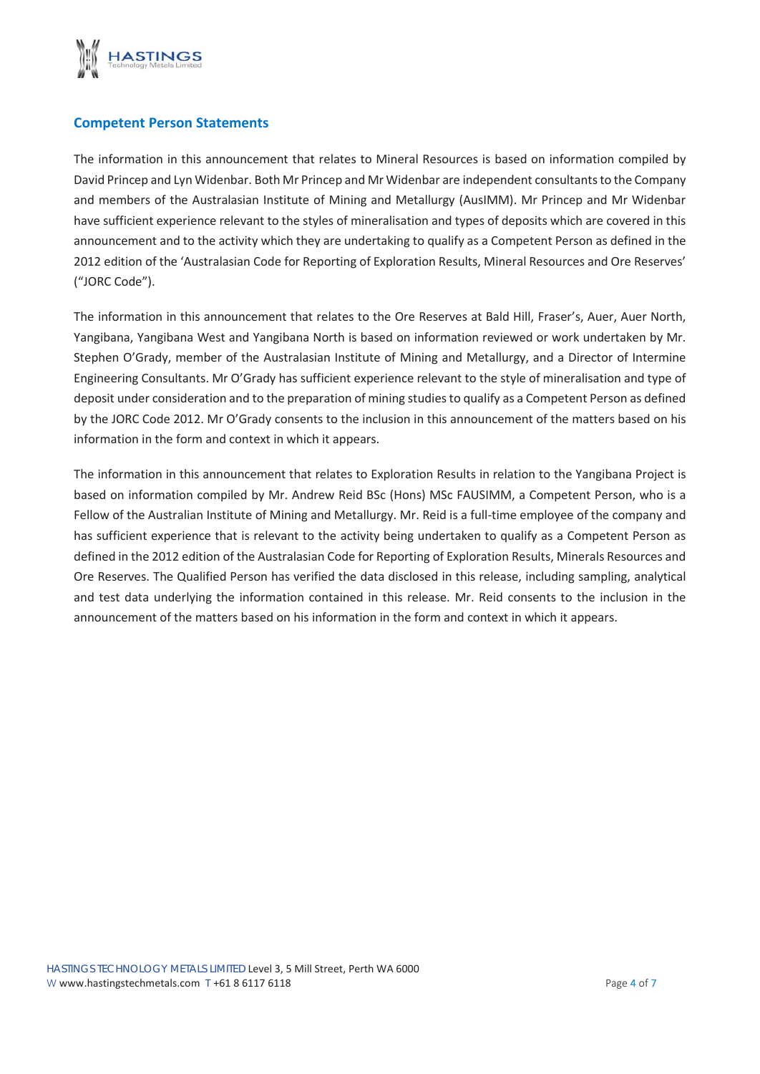

#### **Competent Person Statements**

The information in this announcement that relates to Mineral Resources is based on information compiled by David Princep and Lyn Widenbar. Both Mr Princep and Mr Widenbar are independent consultants to the Company and members of the Australasian Institute of Mining and Metallurgy (AusIMM). Mr Princep and Mr Widenbar have sufficient experience relevant to the styles of mineralisation and types of deposits which are covered in this announcement and to the activity which they are undertaking to qualify as a Competent Person as defined in the 2012 edition of the 'Australasian Code for Reporting of Exploration Results, Mineral Resources and Ore Reserves' ("JORC Code").

The information in this announcement that relates to the Ore Reserves at Bald Hill, Fraser's, Auer, Auer North, Yangibana, Yangibana West and Yangibana North is based on information reviewed or work undertaken by Mr. Stephen O'Grady, member of the Australasian Institute of Mining and Metallurgy, and a Director of Intermine Engineering Consultants. Mr O'Grady has sufficient experience relevant to the style of mineralisation and type of deposit under consideration and to the preparation of mining studies to qualify as a Competent Person as defined by the JORC Code 2012. Mr O'Grady consents to the inclusion in this announcement of the matters based on his information in the form and context in which it appears.

The information in this announcement that relates to Exploration Results in relation to the Yangibana Project is based on information compiled by Mr. Andrew Reid BSc (Hons) MSc FAUSIMM, a Competent Person, who is a Fellow of the Australian Institute of Mining and Metallurgy. Mr. Reid is a full-time employee of the company and has sufficient experience that is relevant to the activity being undertaken to qualify as a Competent Person as defined in the 2012 edition of the Australasian Code for Reporting of Exploration Results, Minerals Resources and Ore Reserves. The Qualified Person has verified the data disclosed in this release, including sampling, analytical and test data underlying the information contained in this release. Mr. Reid consents to the inclusion in the announcement of the matters based on his information in the form and context in which it appears.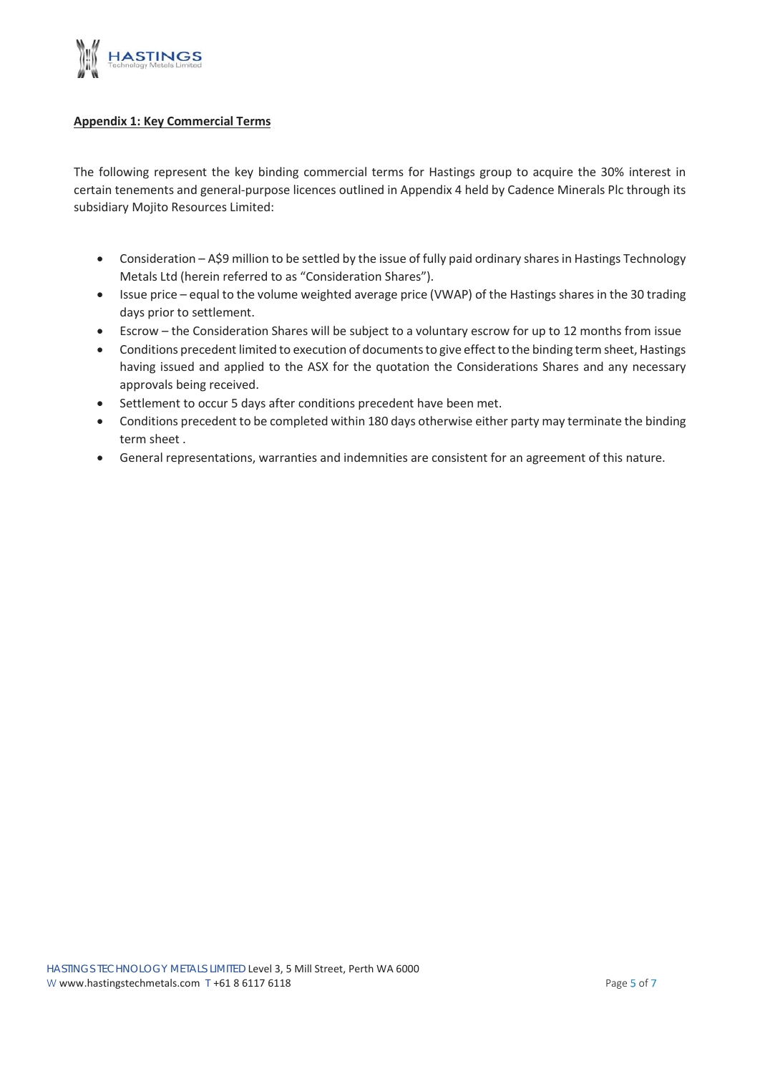

#### **Appendix 1: Key Commercial Terms**

The following represent the key binding commercial terms for Hastings group to acquire the 30% interest in certain tenements and general-purpose licences outlined in Appendix 4 held by Cadence Minerals Plc through its subsidiary Mojito Resources Limited:

- Consideration A\$9 million to be settled by the issue of fully paid ordinary shares in Hastings Technology Metals Ltd (herein referred to as "Consideration Shares").
- Issue price equal to the volume weighted average price (VWAP) of the Hastings shares in the 30 trading days prior to settlement.
- Escrow the Consideration Shares will be subject to a voluntary escrow for up to 12 months from issue
- Conditions precedent limited to execution of documents to give effect to the binding term sheet, Hastings having issued and applied to the ASX for the quotation the Considerations Shares and any necessary approvals being received.
- Settlement to occur 5 days after conditions precedent have been met.
- Conditions precedent to be completed within 180 days otherwise either party may terminate the binding term sheet .
- General representations, warranties and indemnities are consistent for an agreement of this nature.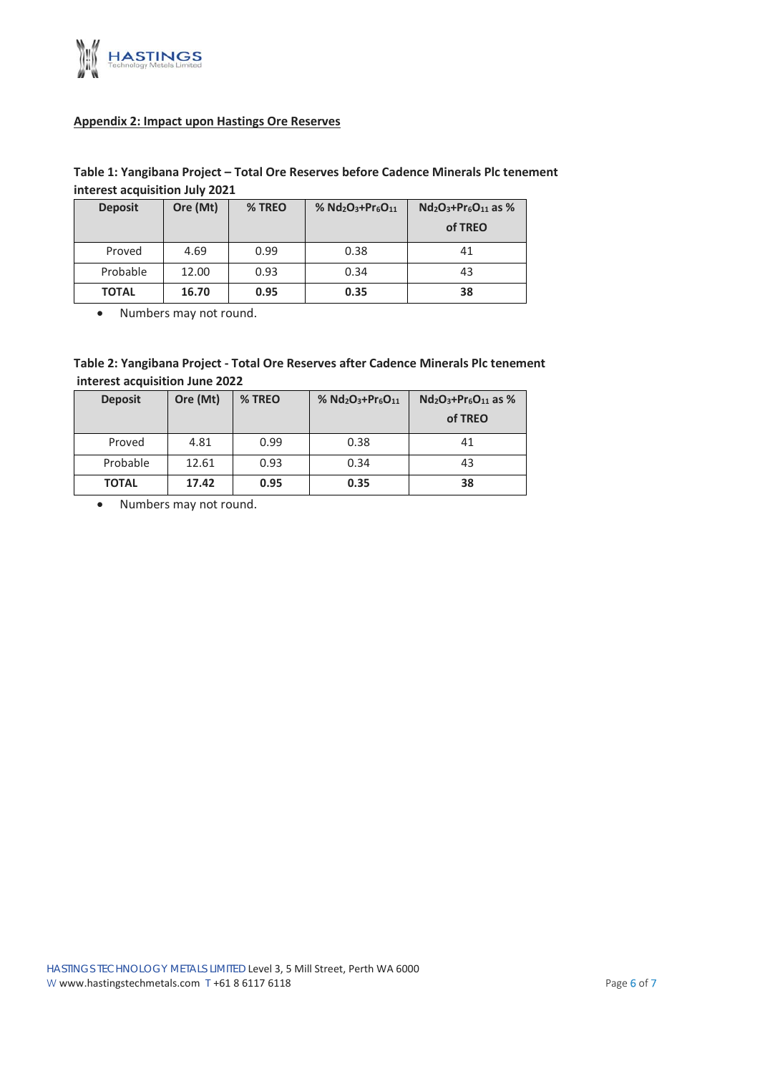

#### **Appendix 2: Impact upon Hastings Ore Reserves**

#### **Table 1: Yangibana Project – Total Ore Reserves before Cadence Minerals Plc tenement interest acquisition July 2021**

| <b>Deposit</b> | Ore (Mt) | % TREO | % $Nd_2O_3+Pr_6O_{11}$ | $Nd_2O_3+Pr_6O_{11}$ as %<br>of TREO |
|----------------|----------|--------|------------------------|--------------------------------------|
| Proved         | 4.69     | 0.99   | 0.38                   | 41                                   |
| Probable       | 12.00    | 0.93   | 0.34                   | 43                                   |
| <b>TOTAL</b>   | 16.70    | 0.95   | 0.35                   | 38                                   |

• Numbers may not round.

#### **Table 2: Yangibana Project - Total Ore Reserves after Cadence Minerals Plc tenement interest acquisition June 2022**

| <b>Deposit</b> | Ore (Mt) | % TREO | % $Nd_2O_3+Pr_6O_{11}$ | $Nd_2O_3+Pr_6O_{11}$ as %<br>of TREO |
|----------------|----------|--------|------------------------|--------------------------------------|
| Proved         | 4.81     | 0.99   | 0.38                   | 41                                   |
| Probable       | 12.61    | 0.93   | 0.34                   | 43                                   |
| <b>TOTAL</b>   | 17.42    | 0.95   | 0.35                   | 38                                   |

• Numbers may not round.